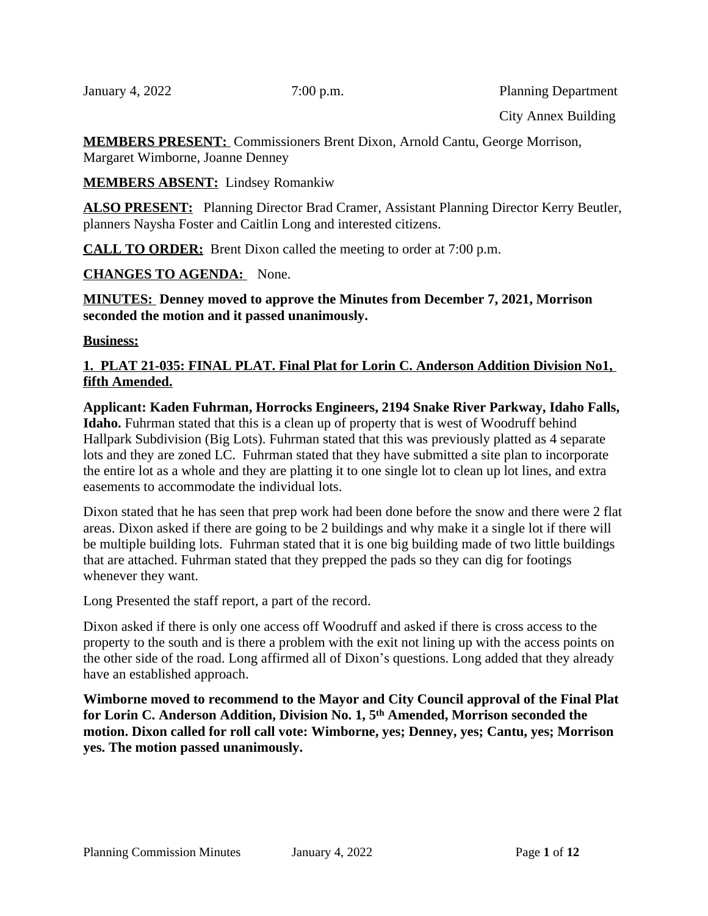January 4, 2022 7:00 p.m. Planning Department

City Annex Building

**MEMBERS PRESENT:** Commissioners Brent Dixon, Arnold Cantu, George Morrison, Margaret Wimborne, Joanne Denney

**MEMBERS ABSENT:** Lindsey Romankiw

**ALSO PRESENT:** Planning Director Brad Cramer, Assistant Planning Director Kerry Beutler, planners Naysha Foster and Caitlin Long and interested citizens.

**CALL TO ORDER:** Brent Dixon called the meeting to order at 7:00 p.m.

**CHANGES TO AGENDA:** None.

**MINUTES: Denney moved to approve the Minutes from December 7, 2021, Morrison seconded the motion and it passed unanimously.**

#### **Business:**

### **1. PLAT 21-035: FINAL PLAT. Final Plat for Lorin C. Anderson Addition Division No1, fifth Amended.**

**Applicant: Kaden Fuhrman, Horrocks Engineers, 2194 Snake River Parkway, Idaho Falls, Idaho.** Fuhrman stated that this is a clean up of property that is west of Woodruff behind Hallpark Subdivision (Big Lots). Fuhrman stated that this was previously platted as 4 separate lots and they are zoned LC. Fuhrman stated that they have submitted a site plan to incorporate the entire lot as a whole and they are platting it to one single lot to clean up lot lines, and extra easements to accommodate the individual lots.

Dixon stated that he has seen that prep work had been done before the snow and there were 2 flat areas. Dixon asked if there are going to be 2 buildings and why make it a single lot if there will be multiple building lots. Fuhrman stated that it is one big building made of two little buildings that are attached. Fuhrman stated that they prepped the pads so they can dig for footings whenever they want.

Long Presented the staff report, a part of the record.

Dixon asked if there is only one access off Woodruff and asked if there is cross access to the property to the south and is there a problem with the exit not lining up with the access points on the other side of the road. Long affirmed all of Dixon's questions. Long added that they already have an established approach.

**Wimborne moved to recommend to the Mayor and City Council approval of the Final Plat for Lorin C. Anderson Addition, Division No. 1, 5th Amended, Morrison seconded the motion. Dixon called for roll call vote: Wimborne, yes; Denney, yes; Cantu, yes; Morrison yes. The motion passed unanimously.**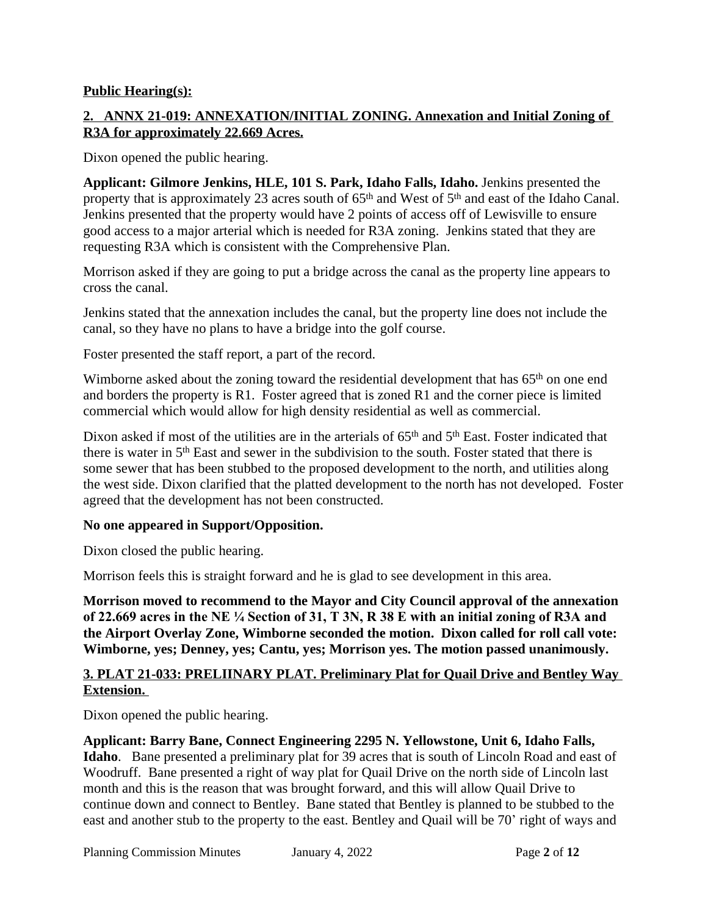#### **Public Hearing(s):**

### **2. ANNX 21-019: ANNEXATION/INITIAL ZONING. Annexation and Initial Zoning of R3A for approximately 22.669 Acres.**

Dixon opened the public hearing.

**Applicant: Gilmore Jenkins, HLE, 101 S. Park, Idaho Falls, Idaho.** Jenkins presented the property that is approximately 23 acres south of 65<sup>th</sup> and West of 5<sup>th</sup> and east of the Idaho Canal. Jenkins presented that the property would have 2 points of access off of Lewisville to ensure good access to a major arterial which is needed for R3A zoning. Jenkins stated that they are requesting R3A which is consistent with the Comprehensive Plan.

Morrison asked if they are going to put a bridge across the canal as the property line appears to cross the canal.

Jenkins stated that the annexation includes the canal, but the property line does not include the canal, so they have no plans to have a bridge into the golf course.

Foster presented the staff report, a part of the record.

Wimborne asked about the zoning toward the residential development that has 65<sup>th</sup> on one end and borders the property is R1. Foster agreed that is zoned R1 and the corner piece is limited commercial which would allow for high density residential as well as commercial.

Dixon asked if most of the utilities are in the arterials of 65<sup>th</sup> and 5<sup>th</sup> East. Foster indicated that there is water in 5th East and sewer in the subdivision to the south. Foster stated that there is some sewer that has been stubbed to the proposed development to the north, and utilities along the west side. Dixon clarified that the platted development to the north has not developed. Foster agreed that the development has not been constructed.

### **No one appeared in Support/Opposition.**

Dixon closed the public hearing.

Morrison feels this is straight forward and he is glad to see development in this area.

**Morrison moved to recommend to the Mayor and City Council approval of the annexation of 22.669 acres in the NE ¼ Section of 31, T 3N, R 38 E with an initial zoning of R3A and the Airport Overlay Zone, Wimborne seconded the motion. Dixon called for roll call vote: Wimborne, yes; Denney, yes; Cantu, yes; Morrison yes. The motion passed unanimously.**

### **3. PLAT 21-033: PRELIINARY PLAT. Preliminary Plat for Quail Drive and Bentley Way Extension.**

Dixon opened the public hearing.

**Applicant: Barry Bane, Connect Engineering 2295 N. Yellowstone, Unit 6, Idaho Falls, Idaho**. Bane presented a preliminary plat for 39 acres that is south of Lincoln Road and east of Woodruff. Bane presented a right of way plat for Quail Drive on the north side of Lincoln last month and this is the reason that was brought forward, and this will allow Quail Drive to continue down and connect to Bentley. Bane stated that Bentley is planned to be stubbed to the east and another stub to the property to the east. Bentley and Quail will be 70' right of ways and

Planning Commission Minutes January 4, 2022 Page **2** of **12**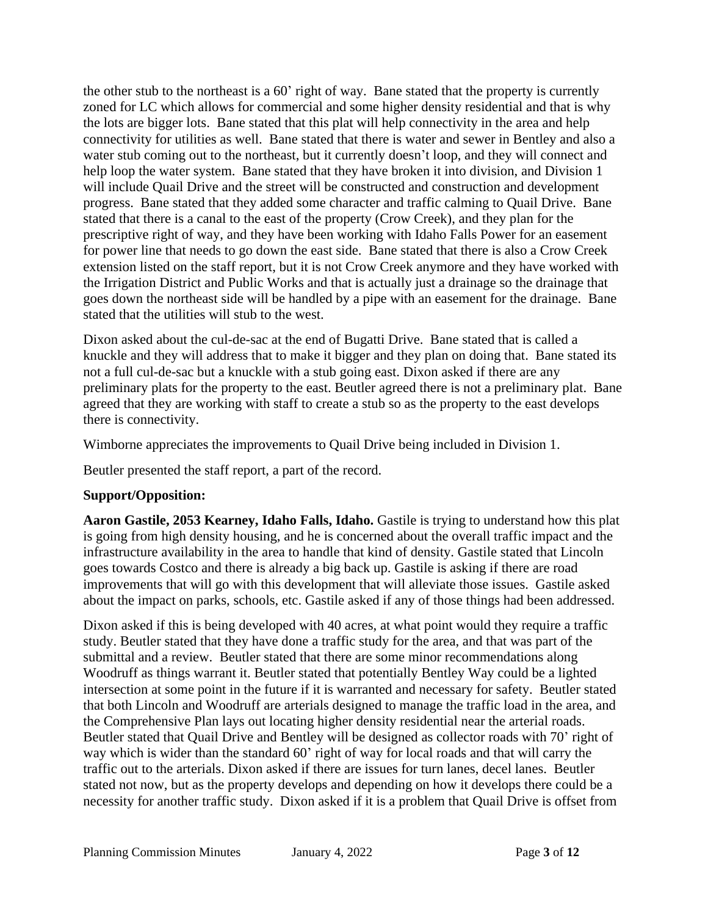the other stub to the northeast is a 60' right of way. Bane stated that the property is currently zoned for LC which allows for commercial and some higher density residential and that is why the lots are bigger lots. Bane stated that this plat will help connectivity in the area and help connectivity for utilities as well. Bane stated that there is water and sewer in Bentley and also a water stub coming out to the northeast, but it currently doesn't loop, and they will connect and help loop the water system. Bane stated that they have broken it into division, and Division 1 will include Quail Drive and the street will be constructed and construction and development progress. Bane stated that they added some character and traffic calming to Quail Drive. Bane stated that there is a canal to the east of the property (Crow Creek), and they plan for the prescriptive right of way, and they have been working with Idaho Falls Power for an easement for power line that needs to go down the east side. Bane stated that there is also a Crow Creek extension listed on the staff report, but it is not Crow Creek anymore and they have worked with the Irrigation District and Public Works and that is actually just a drainage so the drainage that goes down the northeast side will be handled by a pipe with an easement for the drainage. Bane stated that the utilities will stub to the west.

Dixon asked about the cul-de-sac at the end of Bugatti Drive. Bane stated that is called a knuckle and they will address that to make it bigger and they plan on doing that. Bane stated its not a full cul-de-sac but a knuckle with a stub going east. Dixon asked if there are any preliminary plats for the property to the east. Beutler agreed there is not a preliminary plat. Bane agreed that they are working with staff to create a stub so as the property to the east develops there is connectivity.

Wimborne appreciates the improvements to Quail Drive being included in Division 1.

Beutler presented the staff report, a part of the record.

# **Support/Opposition:**

**Aaron Gastile, 2053 Kearney, Idaho Falls, Idaho.** Gastile is trying to understand how this plat is going from high density housing, and he is concerned about the overall traffic impact and the infrastructure availability in the area to handle that kind of density. Gastile stated that Lincoln goes towards Costco and there is already a big back up. Gastile is asking if there are road improvements that will go with this development that will alleviate those issues. Gastile asked about the impact on parks, schools, etc. Gastile asked if any of those things had been addressed.

Dixon asked if this is being developed with 40 acres, at what point would they require a traffic study. Beutler stated that they have done a traffic study for the area, and that was part of the submittal and a review. Beutler stated that there are some minor recommendations along Woodruff as things warrant it. Beutler stated that potentially Bentley Way could be a lighted intersection at some point in the future if it is warranted and necessary for safety. Beutler stated that both Lincoln and Woodruff are arterials designed to manage the traffic load in the area, and the Comprehensive Plan lays out locating higher density residential near the arterial roads. Beutler stated that Quail Drive and Bentley will be designed as collector roads with 70' right of way which is wider than the standard 60' right of way for local roads and that will carry the traffic out to the arterials. Dixon asked if there are issues for turn lanes, decel lanes. Beutler stated not now, but as the property develops and depending on how it develops there could be a necessity for another traffic study. Dixon asked if it is a problem that Quail Drive is offset from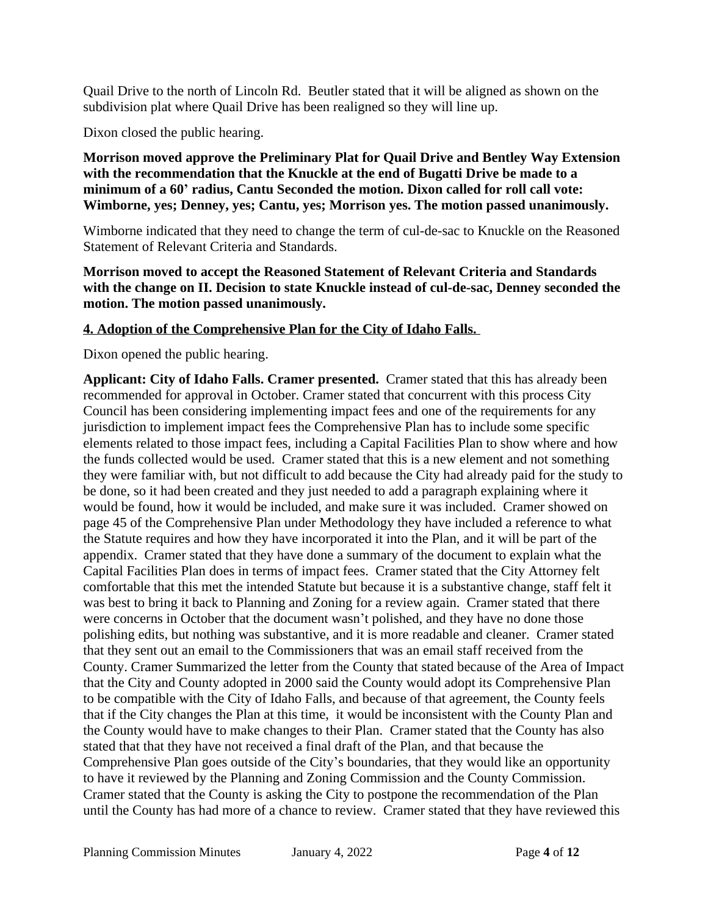Quail Drive to the north of Lincoln Rd. Beutler stated that it will be aligned as shown on the subdivision plat where Quail Drive has been realigned so they will line up.

Dixon closed the public hearing.

**Morrison moved approve the Preliminary Plat for Quail Drive and Bentley Way Extension with the recommendation that the Knuckle at the end of Bugatti Drive be made to a minimum of a 60' radius, Cantu Seconded the motion. Dixon called for roll call vote: Wimborne, yes; Denney, yes; Cantu, yes; Morrison yes. The motion passed unanimously.**

Wimborne indicated that they need to change the term of cul-de-sac to Knuckle on the Reasoned Statement of Relevant Criteria and Standards.

**Morrison moved to accept the Reasoned Statement of Relevant Criteria and Standards with the change on II. Decision to state Knuckle instead of cul-de-sac, Denney seconded the motion. The motion passed unanimously.**

#### **4. Adoption of the Comprehensive Plan for the City of Idaho Falls.**

Dixon opened the public hearing.

**Applicant: City of Idaho Falls. Cramer presented.** Cramer stated that this has already been recommended for approval in October. Cramer stated that concurrent with this process City Council has been considering implementing impact fees and one of the requirements for any jurisdiction to implement impact fees the Comprehensive Plan has to include some specific elements related to those impact fees, including a Capital Facilities Plan to show where and how the funds collected would be used. Cramer stated that this is a new element and not something they were familiar with, but not difficult to add because the City had already paid for the study to be done, so it had been created and they just needed to add a paragraph explaining where it would be found, how it would be included, and make sure it was included. Cramer showed on page 45 of the Comprehensive Plan under Methodology they have included a reference to what the Statute requires and how they have incorporated it into the Plan, and it will be part of the appendix. Cramer stated that they have done a summary of the document to explain what the Capital Facilities Plan does in terms of impact fees. Cramer stated that the City Attorney felt comfortable that this met the intended Statute but because it is a substantive change, staff felt it was best to bring it back to Planning and Zoning for a review again. Cramer stated that there were concerns in October that the document wasn't polished, and they have no done those polishing edits, but nothing was substantive, and it is more readable and cleaner. Cramer stated that they sent out an email to the Commissioners that was an email staff received from the County. Cramer Summarized the letter from the County that stated because of the Area of Impact that the City and County adopted in 2000 said the County would adopt its Comprehensive Plan to be compatible with the City of Idaho Falls, and because of that agreement, the County feels that if the City changes the Plan at this time, it would be inconsistent with the County Plan and the County would have to make changes to their Plan. Cramer stated that the County has also stated that that they have not received a final draft of the Plan, and that because the Comprehensive Plan goes outside of the City's boundaries, that they would like an opportunity to have it reviewed by the Planning and Zoning Commission and the County Commission. Cramer stated that the County is asking the City to postpone the recommendation of the Plan until the County has had more of a chance to review. Cramer stated that they have reviewed this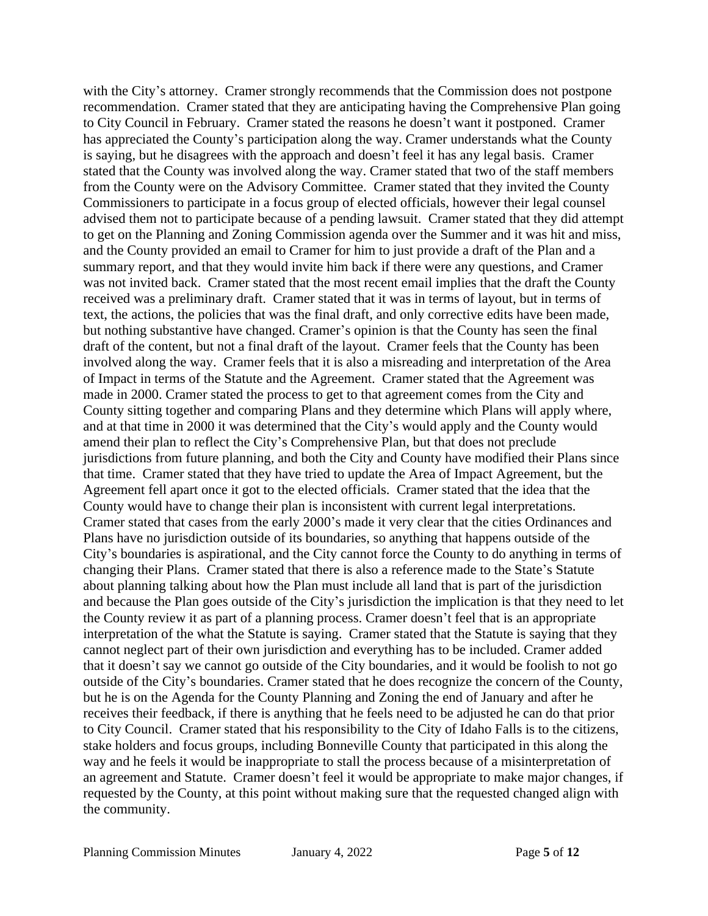with the City's attorney. Cramer strongly recommends that the Commission does not postpone recommendation. Cramer stated that they are anticipating having the Comprehensive Plan going to City Council in February. Cramer stated the reasons he doesn't want it postponed. Cramer has appreciated the County's participation along the way. Cramer understands what the County is saying, but he disagrees with the approach and doesn't feel it has any legal basis. Cramer stated that the County was involved along the way. Cramer stated that two of the staff members from the County were on the Advisory Committee. Cramer stated that they invited the County Commissioners to participate in a focus group of elected officials, however their legal counsel advised them not to participate because of a pending lawsuit. Cramer stated that they did attempt to get on the Planning and Zoning Commission agenda over the Summer and it was hit and miss, and the County provided an email to Cramer for him to just provide a draft of the Plan and a summary report, and that they would invite him back if there were any questions, and Cramer was not invited back. Cramer stated that the most recent email implies that the draft the County received was a preliminary draft. Cramer stated that it was in terms of layout, but in terms of text, the actions, the policies that was the final draft, and only corrective edits have been made, but nothing substantive have changed. Cramer's opinion is that the County has seen the final draft of the content, but not a final draft of the layout. Cramer feels that the County has been involved along the way. Cramer feels that it is also a misreading and interpretation of the Area of Impact in terms of the Statute and the Agreement. Cramer stated that the Agreement was made in 2000. Cramer stated the process to get to that agreement comes from the City and County sitting together and comparing Plans and they determine which Plans will apply where, and at that time in 2000 it was determined that the City's would apply and the County would amend their plan to reflect the City's Comprehensive Plan, but that does not preclude jurisdictions from future planning, and both the City and County have modified their Plans since that time. Cramer stated that they have tried to update the Area of Impact Agreement, but the Agreement fell apart once it got to the elected officials. Cramer stated that the idea that the County would have to change their plan is inconsistent with current legal interpretations. Cramer stated that cases from the early 2000's made it very clear that the cities Ordinances and Plans have no jurisdiction outside of its boundaries, so anything that happens outside of the City's boundaries is aspirational, and the City cannot force the County to do anything in terms of changing their Plans. Cramer stated that there is also a reference made to the State's Statute about planning talking about how the Plan must include all land that is part of the jurisdiction and because the Plan goes outside of the City's jurisdiction the implication is that they need to let the County review it as part of a planning process. Cramer doesn't feel that is an appropriate interpretation of the what the Statute is saying. Cramer stated that the Statute is saying that they cannot neglect part of their own jurisdiction and everything has to be included. Cramer added that it doesn't say we cannot go outside of the City boundaries, and it would be foolish to not go outside of the City's boundaries. Cramer stated that he does recognize the concern of the County, but he is on the Agenda for the County Planning and Zoning the end of January and after he receives their feedback, if there is anything that he feels need to be adjusted he can do that prior to City Council. Cramer stated that his responsibility to the City of Idaho Falls is to the citizens, stake holders and focus groups, including Bonneville County that participated in this along the way and he feels it would be inappropriate to stall the process because of a misinterpretation of an agreement and Statute. Cramer doesn't feel it would be appropriate to make major changes, if requested by the County, at this point without making sure that the requested changed align with the community.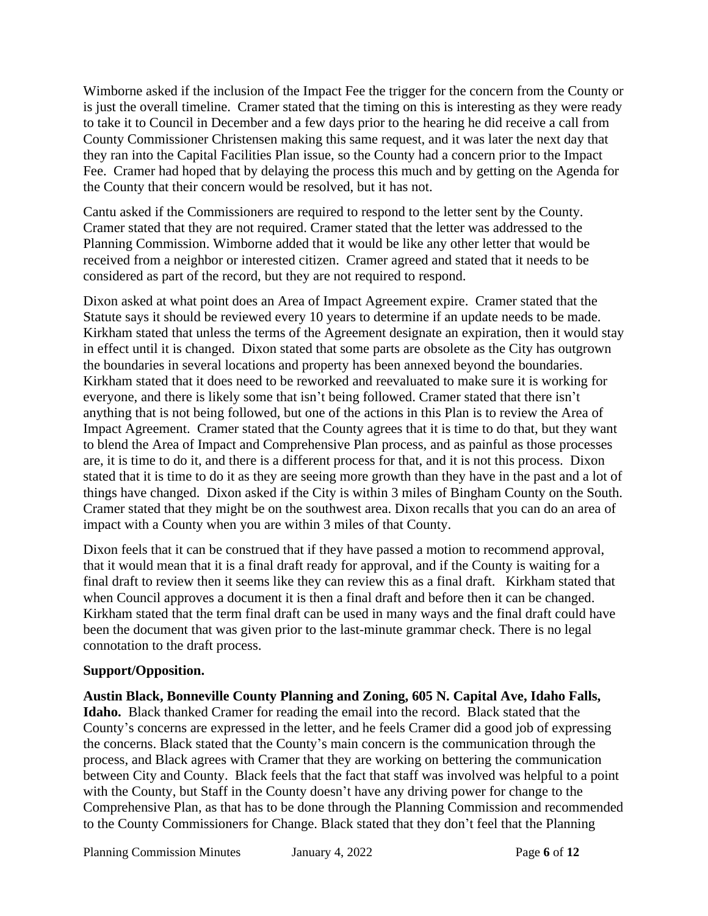Wimborne asked if the inclusion of the Impact Fee the trigger for the concern from the County or is just the overall timeline. Cramer stated that the timing on this is interesting as they were ready to take it to Council in December and a few days prior to the hearing he did receive a call from County Commissioner Christensen making this same request, and it was later the next day that they ran into the Capital Facilities Plan issue, so the County had a concern prior to the Impact Fee. Cramer had hoped that by delaying the process this much and by getting on the Agenda for the County that their concern would be resolved, but it has not.

Cantu asked if the Commissioners are required to respond to the letter sent by the County. Cramer stated that they are not required. Cramer stated that the letter was addressed to the Planning Commission. Wimborne added that it would be like any other letter that would be received from a neighbor or interested citizen. Cramer agreed and stated that it needs to be considered as part of the record, but they are not required to respond.

Dixon asked at what point does an Area of Impact Agreement expire. Cramer stated that the Statute says it should be reviewed every 10 years to determine if an update needs to be made. Kirkham stated that unless the terms of the Agreement designate an expiration, then it would stay in effect until it is changed. Dixon stated that some parts are obsolete as the City has outgrown the boundaries in several locations and property has been annexed beyond the boundaries. Kirkham stated that it does need to be reworked and reevaluated to make sure it is working for everyone, and there is likely some that isn't being followed. Cramer stated that there isn't anything that is not being followed, but one of the actions in this Plan is to review the Area of Impact Agreement. Cramer stated that the County agrees that it is time to do that, but they want to blend the Area of Impact and Comprehensive Plan process, and as painful as those processes are, it is time to do it, and there is a different process for that, and it is not this process. Dixon stated that it is time to do it as they are seeing more growth than they have in the past and a lot of things have changed. Dixon asked if the City is within 3 miles of Bingham County on the South. Cramer stated that they might be on the southwest area. Dixon recalls that you can do an area of impact with a County when you are within 3 miles of that County.

Dixon feels that it can be construed that if they have passed a motion to recommend approval, that it would mean that it is a final draft ready for approval, and if the County is waiting for a final draft to review then it seems like they can review this as a final draft. Kirkham stated that when Council approves a document it is then a final draft and before then it can be changed. Kirkham stated that the term final draft can be used in many ways and the final draft could have been the document that was given prior to the last-minute grammar check. There is no legal connotation to the draft process.

### **Support/Opposition.**

**Austin Black, Bonneville County Planning and Zoning, 605 N. Capital Ave, Idaho Falls, Idaho.** Black thanked Cramer for reading the email into the record. Black stated that the County's concerns are expressed in the letter, and he feels Cramer did a good job of expressing the concerns. Black stated that the County's main concern is the communication through the process, and Black agrees with Cramer that they are working on bettering the communication between City and County. Black feels that the fact that staff was involved was helpful to a point with the County, but Staff in the County doesn't have any driving power for change to the Comprehensive Plan, as that has to be done through the Planning Commission and recommended to the County Commissioners for Change. Black stated that they don't feel that the Planning

Planning Commission Minutes January 4, 2022 Page 6 of 12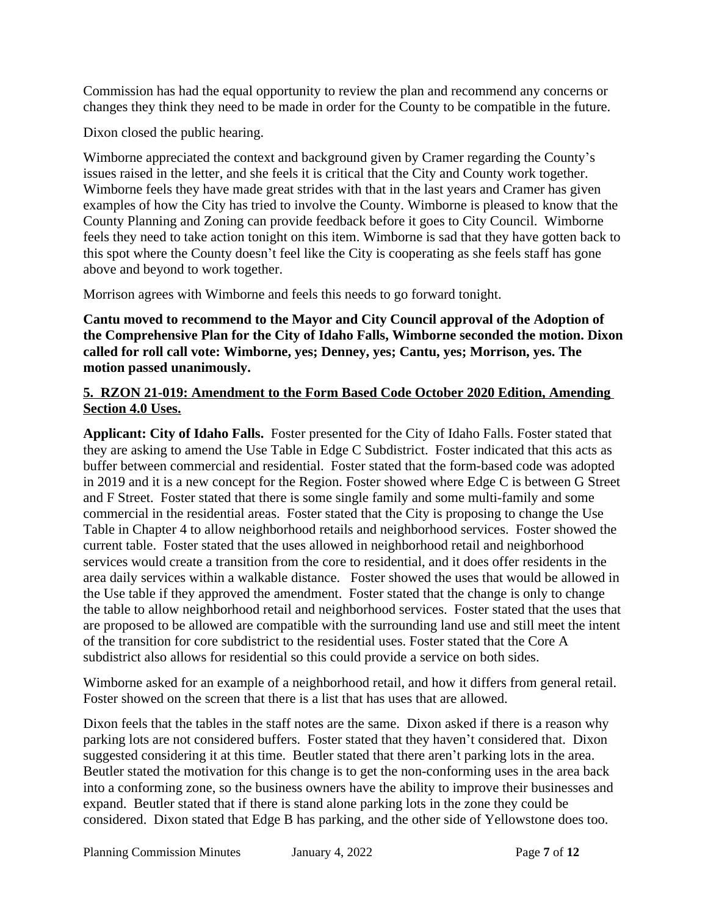Commission has had the equal opportunity to review the plan and recommend any concerns or changes they think they need to be made in order for the County to be compatible in the future.

Dixon closed the public hearing.

Wimborne appreciated the context and background given by Cramer regarding the County's issues raised in the letter, and she feels it is critical that the City and County work together. Wimborne feels they have made great strides with that in the last years and Cramer has given examples of how the City has tried to involve the County. Wimborne is pleased to know that the County Planning and Zoning can provide feedback before it goes to City Council. Wimborne feels they need to take action tonight on this item. Wimborne is sad that they have gotten back to this spot where the County doesn't feel like the City is cooperating as she feels staff has gone above and beyond to work together.

Morrison agrees with Wimborne and feels this needs to go forward tonight.

**Cantu moved to recommend to the Mayor and City Council approval of the Adoption of the Comprehensive Plan for the City of Idaho Falls, Wimborne seconded the motion. Dixon called for roll call vote: Wimborne, yes; Denney, yes; Cantu, yes; Morrison, yes. The motion passed unanimously.** 

### **5. RZON 21-019: Amendment to the Form Based Code October 2020 Edition, Amending Section 4.0 Uses.**

**Applicant: City of Idaho Falls.** Foster presented for the City of Idaho Falls. Foster stated that they are asking to amend the Use Table in Edge C Subdistrict. Foster indicated that this acts as buffer between commercial and residential. Foster stated that the form-based code was adopted in 2019 and it is a new concept for the Region. Foster showed where Edge C is between G Street and F Street. Foster stated that there is some single family and some multi-family and some commercial in the residential areas. Foster stated that the City is proposing to change the Use Table in Chapter 4 to allow neighborhood retails and neighborhood services. Foster showed the current table. Foster stated that the uses allowed in neighborhood retail and neighborhood services would create a transition from the core to residential, and it does offer residents in the area daily services within a walkable distance. Foster showed the uses that would be allowed in the Use table if they approved the amendment. Foster stated that the change is only to change the table to allow neighborhood retail and neighborhood services. Foster stated that the uses that are proposed to be allowed are compatible with the surrounding land use and still meet the intent of the transition for core subdistrict to the residential uses. Foster stated that the Core A subdistrict also allows for residential so this could provide a service on both sides.

Wimborne asked for an example of a neighborhood retail, and how it differs from general retail. Foster showed on the screen that there is a list that has uses that are allowed.

Dixon feels that the tables in the staff notes are the same. Dixon asked if there is a reason why parking lots are not considered buffers. Foster stated that they haven't considered that. Dixon suggested considering it at this time. Beutler stated that there aren't parking lots in the area. Beutler stated the motivation for this change is to get the non-conforming uses in the area back into a conforming zone, so the business owners have the ability to improve their businesses and expand. Beutler stated that if there is stand alone parking lots in the zone they could be considered. Dixon stated that Edge B has parking, and the other side of Yellowstone does too.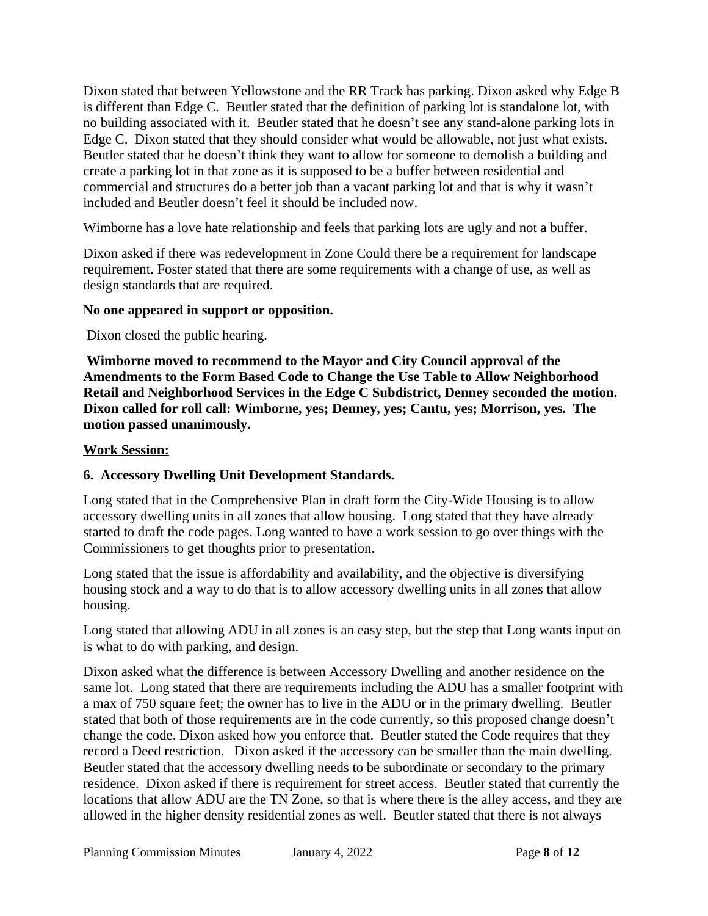Dixon stated that between Yellowstone and the RR Track has parking. Dixon asked why Edge B is different than Edge C. Beutler stated that the definition of parking lot is standalone lot, with no building associated with it. Beutler stated that he doesn't see any stand-alone parking lots in Edge C. Dixon stated that they should consider what would be allowable, not just what exists. Beutler stated that he doesn't think they want to allow for someone to demolish a building and create a parking lot in that zone as it is supposed to be a buffer between residential and commercial and structures do a better job than a vacant parking lot and that is why it wasn't included and Beutler doesn't feel it should be included now.

Wimborne has a love hate relationship and feels that parking lots are ugly and not a buffer.

Dixon asked if there was redevelopment in Zone Could there be a requirement for landscape requirement. Foster stated that there are some requirements with a change of use, as well as design standards that are required.

#### **No one appeared in support or opposition.**

Dixon closed the public hearing.

 **Wimborne moved to recommend to the Mayor and City Council approval of the Amendments to the Form Based Code to Change the Use Table to Allow Neighborhood Retail and Neighborhood Services in the Edge C Subdistrict, Denney seconded the motion. Dixon called for roll call: Wimborne, yes; Denney, yes; Cantu, yes; Morrison, yes. The motion passed unanimously.** 

#### **Work Session:**

### **6. Accessory Dwelling Unit Development Standards.**

Long stated that in the Comprehensive Plan in draft form the City-Wide Housing is to allow accessory dwelling units in all zones that allow housing. Long stated that they have already started to draft the code pages. Long wanted to have a work session to go over things with the Commissioners to get thoughts prior to presentation.

Long stated that the issue is affordability and availability, and the objective is diversifying housing stock and a way to do that is to allow accessory dwelling units in all zones that allow housing.

Long stated that allowing ADU in all zones is an easy step, but the step that Long wants input on is what to do with parking, and design.

Dixon asked what the difference is between Accessory Dwelling and another residence on the same lot. Long stated that there are requirements including the ADU has a smaller footprint with a max of 750 square feet; the owner has to live in the ADU or in the primary dwelling. Beutler stated that both of those requirements are in the code currently, so this proposed change doesn't change the code. Dixon asked how you enforce that. Beutler stated the Code requires that they record a Deed restriction. Dixon asked if the accessory can be smaller than the main dwelling. Beutler stated that the accessory dwelling needs to be subordinate or secondary to the primary residence. Dixon asked if there is requirement for street access. Beutler stated that currently the locations that allow ADU are the TN Zone, so that is where there is the alley access, and they are allowed in the higher density residential zones as well. Beutler stated that there is not always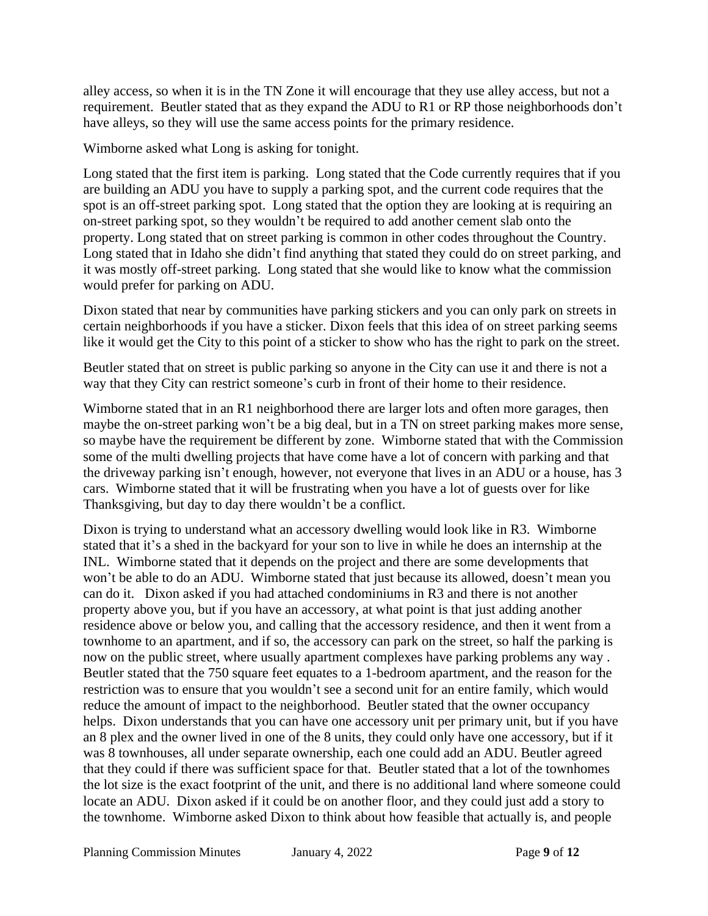alley access, so when it is in the TN Zone it will encourage that they use alley access, but not a requirement. Beutler stated that as they expand the ADU to R1 or RP those neighborhoods don't have alleys, so they will use the same access points for the primary residence.

Wimborne asked what Long is asking for tonight.

Long stated that the first item is parking. Long stated that the Code currently requires that if you are building an ADU you have to supply a parking spot, and the current code requires that the spot is an off-street parking spot. Long stated that the option they are looking at is requiring an on-street parking spot, so they wouldn't be required to add another cement slab onto the property. Long stated that on street parking is common in other codes throughout the Country. Long stated that in Idaho she didn't find anything that stated they could do on street parking, and it was mostly off-street parking. Long stated that she would like to know what the commission would prefer for parking on ADU.

Dixon stated that near by communities have parking stickers and you can only park on streets in certain neighborhoods if you have a sticker. Dixon feels that this idea of on street parking seems like it would get the City to this point of a sticker to show who has the right to park on the street.

Beutler stated that on street is public parking so anyone in the City can use it and there is not a way that they City can restrict someone's curb in front of their home to their residence.

Wimborne stated that in an R1 neighborhood there are larger lots and often more garages, then maybe the on-street parking won't be a big deal, but in a TN on street parking makes more sense, so maybe have the requirement be different by zone. Wimborne stated that with the Commission some of the multi dwelling projects that have come have a lot of concern with parking and that the driveway parking isn't enough, however, not everyone that lives in an ADU or a house, has 3 cars. Wimborne stated that it will be frustrating when you have a lot of guests over for like Thanksgiving, but day to day there wouldn't be a conflict.

Dixon is trying to understand what an accessory dwelling would look like in R3. Wimborne stated that it's a shed in the backyard for your son to live in while he does an internship at the INL. Wimborne stated that it depends on the project and there are some developments that won't be able to do an ADU. Wimborne stated that just because its allowed, doesn't mean you can do it. Dixon asked if you had attached condominiums in R3 and there is not another property above you, but if you have an accessory, at what point is that just adding another residence above or below you, and calling that the accessory residence, and then it went from a townhome to an apartment, and if so, the accessory can park on the street, so half the parking is now on the public street, where usually apartment complexes have parking problems any way . Beutler stated that the 750 square feet equates to a 1-bedroom apartment, and the reason for the restriction was to ensure that you wouldn't see a second unit for an entire family, which would reduce the amount of impact to the neighborhood. Beutler stated that the owner occupancy helps. Dixon understands that you can have one accessory unit per primary unit, but if you have an 8 plex and the owner lived in one of the 8 units, they could only have one accessory, but if it was 8 townhouses, all under separate ownership, each one could add an ADU. Beutler agreed that they could if there was sufficient space for that. Beutler stated that a lot of the townhomes the lot size is the exact footprint of the unit, and there is no additional land where someone could locate an ADU. Dixon asked if it could be on another floor, and they could just add a story to the townhome. Wimborne asked Dixon to think about how feasible that actually is, and people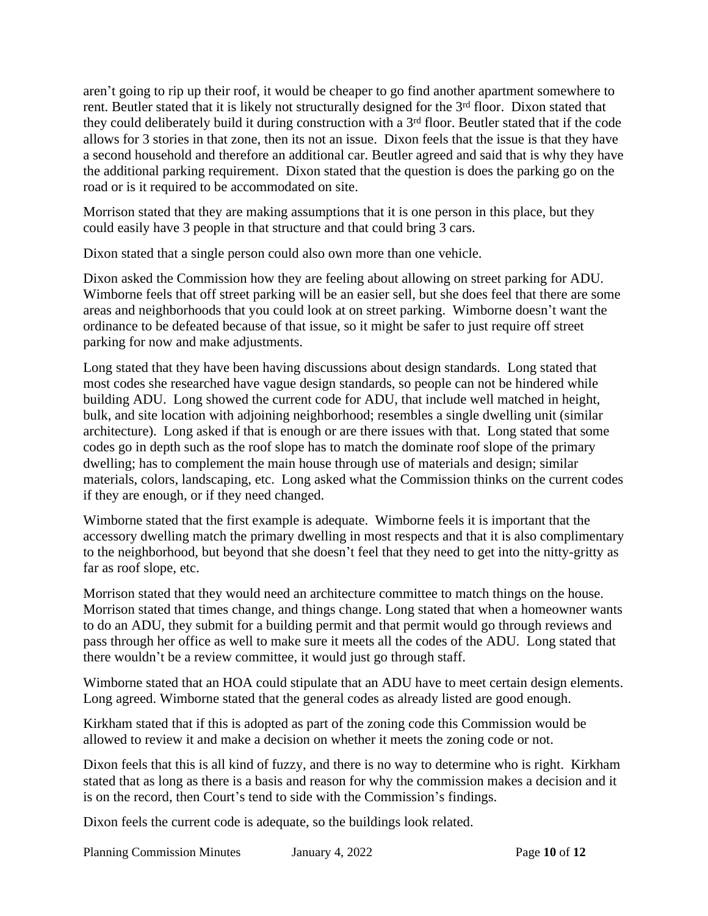aren't going to rip up their roof, it would be cheaper to go find another apartment somewhere to rent. Beutler stated that it is likely not structurally designed for the 3<sup>rd</sup> floor. Dixon stated that they could deliberately build it during construction with a 3<sup>rd</sup> floor. Beutler stated that if the code allows for 3 stories in that zone, then its not an issue. Dixon feels that the issue is that they have a second household and therefore an additional car. Beutler agreed and said that is why they have the additional parking requirement. Dixon stated that the question is does the parking go on the road or is it required to be accommodated on site.

Morrison stated that they are making assumptions that it is one person in this place, but they could easily have 3 people in that structure and that could bring 3 cars.

Dixon stated that a single person could also own more than one vehicle.

Dixon asked the Commission how they are feeling about allowing on street parking for ADU. Wimborne feels that off street parking will be an easier sell, but she does feel that there are some areas and neighborhoods that you could look at on street parking. Wimborne doesn't want the ordinance to be defeated because of that issue, so it might be safer to just require off street parking for now and make adjustments.

Long stated that they have been having discussions about design standards. Long stated that most codes she researched have vague design standards, so people can not be hindered while building ADU. Long showed the current code for ADU, that include well matched in height, bulk, and site location with adjoining neighborhood; resembles a single dwelling unit (similar architecture). Long asked if that is enough or are there issues with that. Long stated that some codes go in depth such as the roof slope has to match the dominate roof slope of the primary dwelling; has to complement the main house through use of materials and design; similar materials, colors, landscaping, etc. Long asked what the Commission thinks on the current codes if they are enough, or if they need changed.

Wimborne stated that the first example is adequate. Wimborne feels it is important that the accessory dwelling match the primary dwelling in most respects and that it is also complimentary to the neighborhood, but beyond that she doesn't feel that they need to get into the nitty-gritty as far as roof slope, etc.

Morrison stated that they would need an architecture committee to match things on the house. Morrison stated that times change, and things change. Long stated that when a homeowner wants to do an ADU, they submit for a building permit and that permit would go through reviews and pass through her office as well to make sure it meets all the codes of the ADU. Long stated that there wouldn't be a review committee, it would just go through staff.

Wimborne stated that an HOA could stipulate that an ADU have to meet certain design elements. Long agreed. Wimborne stated that the general codes as already listed are good enough.

Kirkham stated that if this is adopted as part of the zoning code this Commission would be allowed to review it and make a decision on whether it meets the zoning code or not.

Dixon feels that this is all kind of fuzzy, and there is no way to determine who is right. Kirkham stated that as long as there is a basis and reason for why the commission makes a decision and it is on the record, then Court's tend to side with the Commission's findings.

Dixon feels the current code is adequate, so the buildings look related.

Planning Commission Minutes January 4, 2022 Page **10** of **12**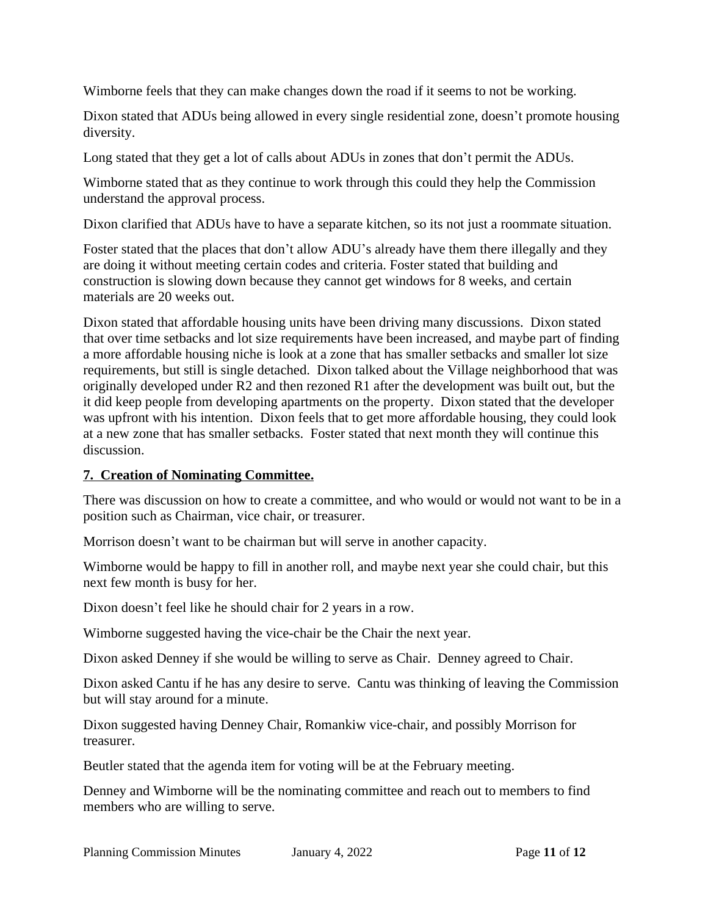Wimborne feels that they can make changes down the road if it seems to not be working.

Dixon stated that ADUs being allowed in every single residential zone, doesn't promote housing diversity.

Long stated that they get a lot of calls about ADUs in zones that don't permit the ADUs.

Wimborne stated that as they continue to work through this could they help the Commission understand the approval process.

Dixon clarified that ADUs have to have a separate kitchen, so its not just a roommate situation.

Foster stated that the places that don't allow ADU's already have them there illegally and they are doing it without meeting certain codes and criteria. Foster stated that building and construction is slowing down because they cannot get windows for 8 weeks, and certain materials are 20 weeks out.

Dixon stated that affordable housing units have been driving many discussions. Dixon stated that over time setbacks and lot size requirements have been increased, and maybe part of finding a more affordable housing niche is look at a zone that has smaller setbacks and smaller lot size requirements, but still is single detached. Dixon talked about the Village neighborhood that was originally developed under R2 and then rezoned R1 after the development was built out, but the it did keep people from developing apartments on the property. Dixon stated that the developer was upfront with his intention. Dixon feels that to get more affordable housing, they could look at a new zone that has smaller setbacks. Foster stated that next month they will continue this discussion.

### **7. Creation of Nominating Committee.**

There was discussion on how to create a committee, and who would or would not want to be in a position such as Chairman, vice chair, or treasurer.

Morrison doesn't want to be chairman but will serve in another capacity.

Wimborne would be happy to fill in another roll, and maybe next year she could chair, but this next few month is busy for her.

Dixon doesn't feel like he should chair for 2 years in a row.

Wimborne suggested having the vice-chair be the Chair the next year.

Dixon asked Denney if she would be willing to serve as Chair. Denney agreed to Chair.

Dixon asked Cantu if he has any desire to serve. Cantu was thinking of leaving the Commission but will stay around for a minute.

Dixon suggested having Denney Chair, Romankiw vice-chair, and possibly Morrison for treasurer.

Beutler stated that the agenda item for voting will be at the February meeting.

Denney and Wimborne will be the nominating committee and reach out to members to find members who are willing to serve.